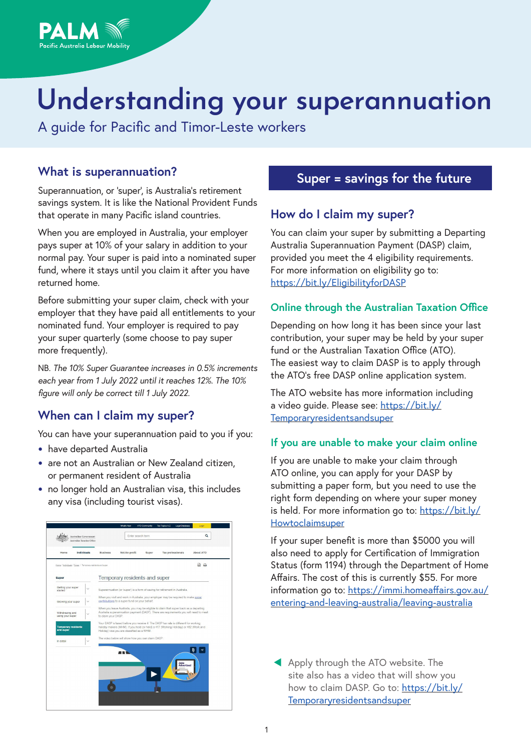

A guide for Pacific and Timor-Leste workers

Pacific Australia Labour Mobility

Superannuation, or 'super', is Australia's retirement savings system. It is like the National Provident Funds that operate in many Pacific island countries.

When you are employed in Australia, your employer pays super at 10% of your salary in addition to your normal pay. Your super is paid into a nominated super fund, where it stays until you claim it after you have returned home.

Before submitting your super claim, check with your employer that they have paid all entitlements to your nominated fund. Your employer is required to pay your super quarterly (some choose to pay super more frequently).

NB. *The 10% Super Guarantee increases in 0.5% increments each year from 1 July 2022 until it reaches 12%. The 10% figure will only be correct till 1 July 2022.*

# **When can I claim my super?**

You can have your superannuation paid to you if you:

- **•** have departed Australia
- **•** are not an Australian or New Zealand citizen, or permanent resident of Australia
- **•** no longer hold an Australian visa, this includes any visa (including tourist visas).



# What is superannuation? **Super = savings for the future**

# **How do I claim my super?**

You can claim your super by submitting a Departing Australia Superannuation Payment (DASP) claim, provided you meet the 4 eligibility requirements. For more information on eligibility go to: https://bit.ly/EligibilityforDASP

#### **Online through the Australian Taxation Office**

Depending on how long it has been since your last contribution, your super may be held by your super fund or the Australian Taxation Office (ATO). The easiest way to claim DASP is to apply through the ATO's free DASP online application system.

The ATO website has more information including a video guide. Please see: https://bit.ly/ Temporaryresidentsandsuper

#### **If you are unable to make your claim online**

If you are unable to make your claim through ATO online, you can apply for your DASP by submitting a paper form, but you need to use the right form depending on where your super money is held. For more information go to: https://bit.ly/ Howtoclaimsuper

If your super benefit is more than \$5000 you will also need to apply for Certification of Immigration Status (form 1194) through the Department of Home Affairs. The cost of this is currently \$55. For more information go to: https://immi.homeaffairs.gov.au/ entering-and-leaving-australia/leaving-australia

Apply through the ATO website. The site also has a video that will show you how to claim DASP. Go to: https://bit.ly/ Temporaryresidentsandsuper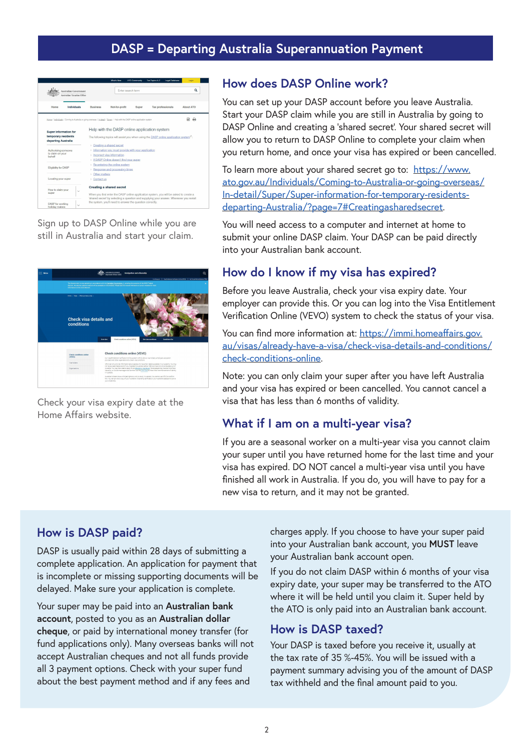# **DASP = Departing Australia Superannuation Payment**



Sign up to DASP Online while you are still in Australia and start your claim.

| Mercu | <b>Northian Government</b><br>Immigration and citizenship<br><b>Antwick of Book Affairs</b><br>Intelligencer   Visibilitieren Ferthusian Ortos 1892)   No Technik Rebent Entwicklift                                                                                                                                                                                                                                                                                                  | $\circ$ |
|-------|---------------------------------------------------------------------------------------------------------------------------------------------------------------------------------------------------------------------------------------------------------------------------------------------------------------------------------------------------------------------------------------------------------------------------------------------------------------------------------------|---------|
|       | The Covenanced is now coonsing in accordance with the Carstales Conventions P, pensing the outcome of the 2022 Federal<br>election. No election-related material will be available on this website. Please see the relevant Miniater's or party's website for more<br>information on the 2022 election.                                                                                                                                                                               |         |
|       | Home - Visar - Vihensouhare a risa -                                                                                                                                                                                                                                                                                                                                                                                                                                                  |         |
|       | Check visa details and<br>conditions                                                                                                                                                                                                                                                                                                                                                                                                                                                  |         |
|       | Check conditions online (VEVD)<br>See visa conditions<br><b>Conditions Est</b><br>Overview                                                                                                                                                                                                                                                                                                                                                                                            |         |
|       | Check conditions online (VEVO)<br>Check conditions online<br>(VEVO)<br>Our Visa Entifement Verification Online sustem (VEVC) alloys visa holders, employers, education<br>provident and other croanisations to check visa conditions.                                                                                                                                                                                                                                                 |         |
|       | Yes holders<br>VEVO can only provide information about people who have their details available in our systems. You may<br>not have a searchable record if you microted to Justicalia before 1990 and have not since traveled out of<br>Australia. Nou may then need to apply for an electronic visa record. Some people may have an immiGard<br>Croanisations<br>issued by us. Government apendies can then use the immiDant to check their commencement of identity<br>in Australia. |         |
|       | Australian o'staers have unlimited rights to work or study in Australia. You cannot use VEHO to confirm<br>this You can provide a copy of your Australian oil banahis cardificate or your Australian passaget to grove<br>your citizenship.                                                                                                                                                                                                                                           |         |

Check your visa expiry date at the Home Affairs website.

## **How does DASP Online work?**

You can set up your DASP account before you leave Australia. Start your DASP claim while you are still in Australia by going to DASP Online and creating a 'shared secret'. Your shared secret will allow you to return to DASP Online to complete your claim when you return home, and once your visa has expired or been cancelled.

To learn more about your shared secret go to: https://www. ato.gov.au/Individuals/Coming-to-Australia-or-going-overseas/ In-detail/Super/Super-information-for-temporary-residentsdeparting-Australia/?page=7#Creatingasharedsecret.

You will need access to a computer and internet at home to submit your online DASP claim. Your DASP can be paid directly into your Australian bank account.

# **How do I know if my visa has expired?**

Before you leave Australia, check your visa expiry date. Your employer can provide this. Or you can log into the Visa Entitlement Verification Online (VEVO) system to check the status of your visa.

You can find more information at: https://immi.homeaffairs.gov. au/visas/already-have-a-visa/check-visa-details-and-conditions/ check-conditions-online.

Note: you can only claim your super after you have left Australia and your visa has expired or been cancelled. You cannot cancel a visa that has less than 6 months of validity.

# **What if I am on a multi-year visa?**

If you are a seasonal worker on a multi-year visa you cannot claim your super until you have returned home for the last time and your visa has expired. DO NOT cancel a multi-year visa until you have finished all work in Australia. If you do, you will have to pay for a new visa to return, and it may not be granted.

# **How is DASP paid?**

DASP is usually paid within 28 days of submitting a complete application. An application for payment that is incomplete or missing supporting documents will be delayed. Make sure your application is complete.

Your super may be paid into an **Australian bank account**, posted to you as an **Australian dollar cheque**, or paid by international money transfer (for fund applications only). Many overseas banks will not accept Australian cheques and not all funds provide all 3 payment options. Check with your super fund about the best payment method and if any fees and

charges apply. If you choose to have your super paid into your Australian bank account, you **MUST** leave your Australian bank account open.

If you do not claim DASP within 6 months of your visa expiry date, your super may be transferred to the ATO where it will be held until you claim it. Super held by the ATO is only paid into an Australian bank account.

#### **How is DASP taxed?**

Your DASP is taxed before you receive it, usually at the tax rate of 35 %-45%. You will be issued with a payment summary advising you of the amount of DASP tax withheld and the final amount paid to you.